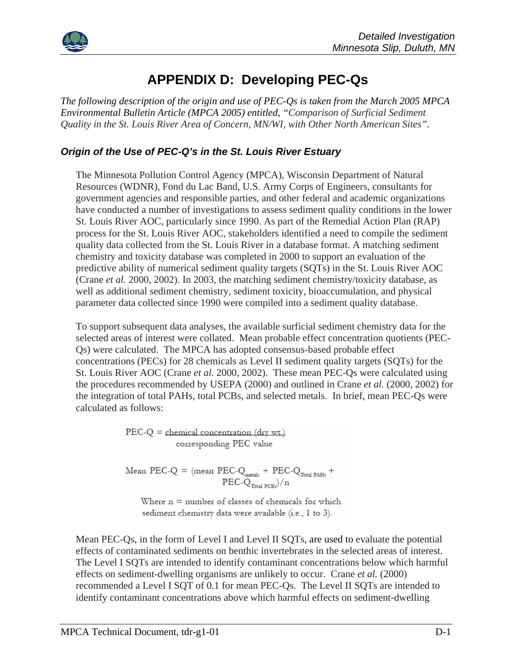

## **APPENDIX D: Developing PEC-Qs**

*The following description of the origin and use of PEC-Qs is taken from the March 2005 MPCA Environmental Bulletin Article (MPCA 2005) entitled, "Comparison of Surficial Sediment Quality in the St. Louis River Area of Concern, MN/WI, with Other North American Sites".* 

## *Origin of the Use of PEC-Q's in the St. Louis River Estuary*

The Minnesota Pollution Control Agency (MPCA), Wisconsin Department of Natural Resources (WDNR), Fond du Lac Band, U.S. Army Corps of Engineers, consultants for government agencies and responsible parties, and other federal and academic organizations have conducted a number of investigations to assess sediment quality conditions in the lower St. Louis River AOC, particularly since 1990. As part of the Remedial Action Plan (RAP) process for the St. Louis River AOC, stakeholders identified a need to compile the sediment quality data collected from the St. Louis River in a database format. A matching sediment chemistry and toxicity database was completed in 2000 to support an evaluation of the predictive ability of numerical sediment quality targets (SQTs) in the St. Louis River AOC (Crane *et al.* 2000, 2002). In 2003, the matching sediment chemistry/toxicity database, as well as additional sediment chemistry, sediment toxicity, bioaccumulation, and physical parameter data collected since 1990 were compiled into a sediment quality database.

To support subsequent data analyses, the available surficial sediment chemistry data for the selected areas of interest were collated. Mean probable effect concentration quotients (PEC-Qs) were calculated. The MPCA has adopted consensus-based probable effect concentrations (PECs) for 28 chemicals as Level II sediment quality targets (SQTs) for the St. Louis River AOC (Crane *et al.* 2000, 2002). These mean PEC-Qs were calculated using the procedures recommended by USEPA (2000) and outlined in Crane *et al.* (2000, 2002) for the integration of total PAHs, total PCBs, and selected metals. In brief, mean PEC-Qs were calculated as follows:

> $PEC-Q = chemical concentration (dry wt.)$ corresponding PEC value

 $\begin{aligned} \text{Mean PEC-Q}\, &=\, (\text{mean PEC-Q}_{\text{metals}}\, +\, \text{PEC-Q}_{\text{Total PAHs}}\, +\\ &\text{PEC-Q}_{\text{Total PCBs}})/\, n \end{aligned}$ 

Where  $n =$  number of classes of chemicals for which sediment chemistry data were available (i.e., 1 to 3).

Mean PEC-Qs, in the form of Level I and Level II SQTs, are used to evaluate the potential effects of contaminated sediments on benthic invertebrates in the selected areas of interest. The Level I SQTs are intended to identify contaminant concentrations below which harmful effects on sediment-dwelling organisms are unlikely to occur. Crane *et al.* (2000) recommended a Level I SQT of 0.1 for mean PEC-Qs. The Level II SQTs are intended to identify contaminant concentrations above which harmful effects on sediment-dwelling